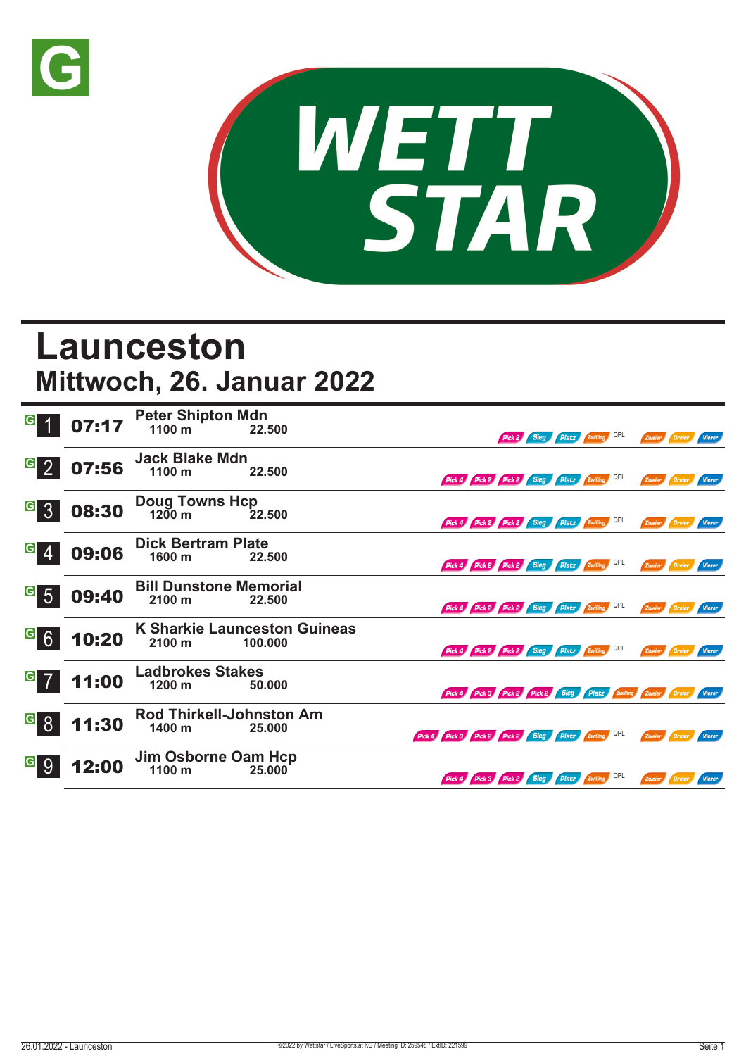



## **Launceston Mittwoch, 26. Januar 2022**

| $\vert G \vert$                    | 07:17 | <b>Peter Shipton Mdn</b><br>1100 m                | 22.500                                         |                                                     |                                                                      |  | Pick 2 Sieg Platz Zwilling QPL |  | Zweier Dreier |                      | <b>Vierer</b> |
|------------------------------------|-------|---------------------------------------------------|------------------------------------------------|-----------------------------------------------------|----------------------------------------------------------------------|--|--------------------------------|--|---------------|----------------------|---------------|
| $G_{2}$                            | 07:56 | <b>Jack Blake Mdn</b><br>1100 m                   | 22.500                                         |                                                     | Pick 4 Pick 2 Pick 2 Sieg Platz Zwilling QPL                         |  |                                |  | Zweier Dreier |                      | <b>Vierer</b> |
| $\vert G \vert$<br>$\overline{3}$  | 08:30 | Doug Towns Hcp<br>1200 m 22                       | 22.500                                         |                                                     | Pick 4 Pick 2 Pick 2 Sieg Platz Zwilling QPL                         |  |                                |  |               | Zweier Dreier Vierer |               |
| $\vert G \vert$<br><b>4</b>        | 09:06 | <b>Dick Bertram Plate</b><br>1600 m               | 22.500                                         |                                                     | Pick 4 Pick 2 Pick 2 Sieg Platz Zwilling QPL                         |  |                                |  |               | Zweier Dreier        | <b>Vierer</b> |
| $\vert G \vert$<br>$5\overline{)}$ | 09:40 | <b>Bill Dunstone Memorial</b><br>$2100 \text{ m}$ | 22.500                                         |                                                     | Pick 4 Pick 2 Pick 2 Sieg Platz Zwilling QPL                         |  |                                |  | Zweier Dreier |                      | <b>Vierer</b> |
| G6                                 | 10:20 | 2100 m                                            | <b>K Sharkie Launceston Guineas</b><br>100.000 |                                                     | Pick 4 Pick 2 Pick 2 Sieg Platz Zwilling QPL                         |  |                                |  |               | Zweier Dreier Vierer |               |
| $G$ 7                              | 11:00 | <b>Ladbrokes Stakes</b><br>1200 m                 | 50.000                                         |                                                     | Pick 4 Pick 3 Pick 2 Pick 2 Sieg Platz Zwilling Zweier Dreier Vierer |  |                                |  |               |                      |               |
| <u>ေ</u> 8                         | 11:30 | Rod Thirkell-Johnston Am<br>1400 m                | 25.000                                         | Pick 4 Pick 3 Pick 2 Pick 2 Sieg Platz Zwilling OPL |                                                                      |  |                                |  | Zweier Dreier |                      | <b>Vierer</b> |
| $\vert G \vert$<br>9               | 2:00  | Jim Osborne Oam Hcp<br>1100 m                     | 25.000                                         |                                                     | Pick 4 Pick 3 Pick 2 Sieg Platz Zwilling QPL                         |  |                                |  |               | Zweier Dreier        | Vierer        |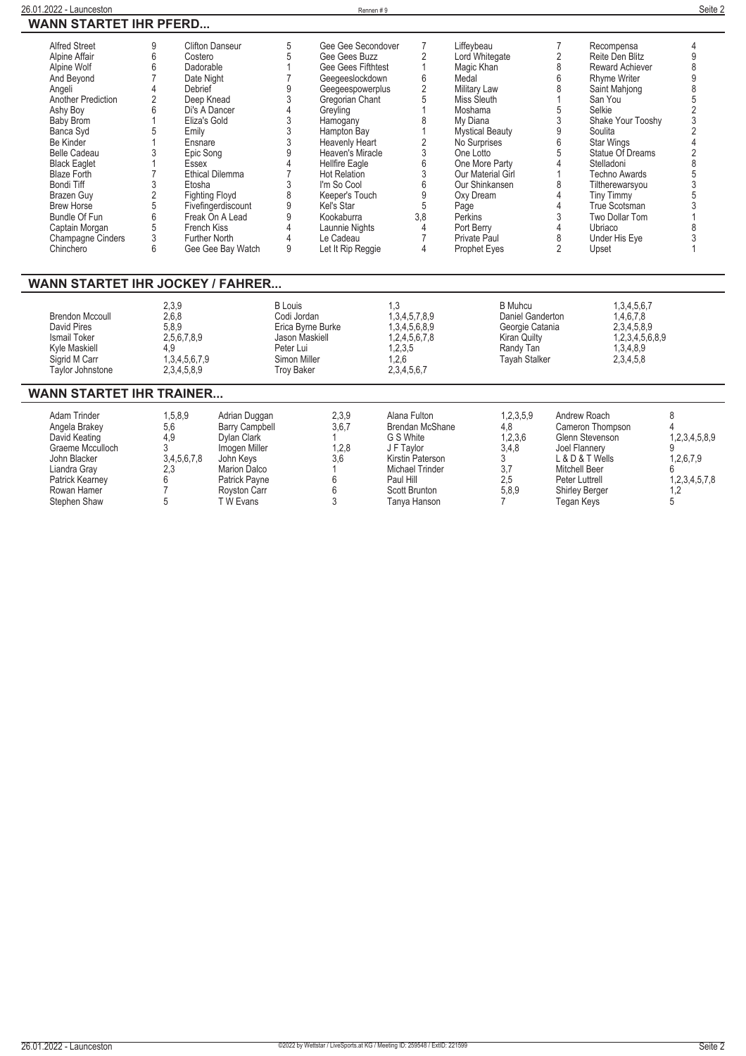| <b>Alfred Street</b>                    | 9              | <b>Clifton Danseur</b>   | 5                 | Gee Gee Secondover    | 7                                          | Liffevbeau             | 7                | Recompensa           | 4              |
|-----------------------------------------|----------------|--------------------------|-------------------|-----------------------|--------------------------------------------|------------------------|------------------|----------------------|----------------|
| Alpine Affair                           | 6              | Costero                  | 5                 | Gee Gees Buzz         | $\overline{2}$                             | Lord Whitegate         | $\sqrt{2}$       | Reite Den Blitz      | 9              |
| Alpine Wolf                             | 6              | Dadorable                |                   | Gee Gees Fifthtest    | 1                                          | Magic Khan             | 8                | Reward Achiever      | 8              |
| And Beyond                              |                | Date Night               |                   | Geegeeslockdown       | 6                                          | Medal                  | $6\overline{6}$  | <b>Rhyme Writer</b>  | 9              |
| Angeli                                  |                | Debrief                  | 9                 | Geegeespowerplus      | $\overline{2}$                             | Military Law           | 8                | Saint Mahjong        | 8              |
| Another Prediction                      | 2              | Deep Knead               | $\mathfrak{Z}$    | Gregorian Chant       | 5                                          | Miss Sleuth            |                  | San You              | 5              |
| Ashy Boy                                | 6              | Di's A Dancer            | $\overline{4}$    | Greyling              |                                            | Moshama                | 5                | Selkie               | $\overline{2}$ |
| <b>Baby Brom</b>                        |                | Eliza's Gold             |                   | Hamogany              |                                            | My Diana               | 3                | Shake Your Tooshy    | 3              |
| Banca Syd                               |                | Emily                    | $\frac{3}{3}$     | Hampton Bay           |                                            | <b>Mystical Beauty</b> | $\boldsymbol{9}$ | Soulita              | $\overline{2}$ |
| Be Kinder                               |                | Ensnare                  | 3                 | Heavenly Heart        |                                            | No Surprises           | 6                | <b>Star Wings</b>    |                |
| <b>Belle Cadeau</b>                     |                | Epic Song                | $\overline{9}$    | Heaven's Miracle      | $\begin{array}{c} 2 \\ 3 \\ 6 \end{array}$ | One Lotto              | 5                | Statue Of Dreams     | $\overline{2}$ |
| <b>Black Eaglet</b>                     |                | Essex                    |                   | <b>Hellfire Eagle</b> |                                            | One More Party         | $\overline{4}$   | Stelladoni           | 8              |
| <b>Blaze Forth</b>                      |                | <b>Ethical Dilemma</b>   |                   | <b>Hot Relation</b>   | $\overline{3}$                             | Our Material Girl      |                  | <b>Techno Awards</b> | 5              |
| <b>Bondi Tiff</b>                       |                | Etosha                   | 3                 | I'm So Cool           | 6                                          | Our Shinkansen         | 8                | Tiltherewarsyou      | 3              |
| <b>Brazen Guv</b>                       | $\overline{2}$ | <b>Fighting Floyd</b>    | 8                 | Keeper's Touch        | $\overline{9}$                             | Oxy Dream              | $\Delta$         | <b>Tiny Timmy</b>    | 5              |
| <b>Brew Horse</b>                       | 5              | Fivefingerdiscount       | 9                 | Kel's Star            | 5                                          | Page                   | $\Delta$         | True Scotsman        | 3              |
| Bundle Of Fun                           | 6              | Freak On A Lead          | 9                 | Kookaburra            | 3,8                                        | Perkins                | 3                | Two Dollar Tom       |                |
| Captain Morgan                          | 5              | French Kiss              | $\overline{4}$    | Launnie Nights        | 4                                          | Port Berry             | 4                | Ubriaco              | 8              |
| <b>Champagne Cinders</b>                | 3              | <b>Further North</b>     | $\overline{4}$    | Le Cadeau             | $\overline{7}$                             | <b>Private Paul</b>    | 8                | Under His Eye        |                |
| Chinchero                               | 6              | Gee Gee Bay Watch        | 9                 | Let It Rip Reggie     | 4                                          | <b>Prophet Eyes</b>    | $\overline{2}$   | Upset                |                |
|                                         |                |                          |                   |                       |                                            |                        |                  |                      |                |
|                                         |                |                          |                   |                       |                                            |                        |                  |                      |                |
| <b>WANN STARTET IHR JOCKEY / FAHRER</b> |                |                          |                   |                       |                                            |                        |                  |                      |                |
|                                         |                | 2,3,9                    | <b>B</b> Louis    |                       | 1,3                                        | <b>B</b> Muhcu         |                  | 1,3,4,5,6,7          |                |
| <b>Brendon Mccoull</b>                  |                | 2,6,8                    | Codi Jordan       |                       | 1,3,4,5,7,8,9                              | Daniel Ganderton       |                  | 1,4,6,7,8            |                |
| <b>David Pires</b>                      |                | 5,8,9                    |                   | Erica Byrne Burke     | 1,3,4,5,6,8,9                              | Georgie Catania        |                  | 2,3,4,5,8,9          |                |
| Ismail Toker                            |                | 2,5,6,7,8,9              | Jason Maskiell    |                       | 1,2,4,5,6,7,8                              | <b>Kiran Quilty</b>    |                  | 1,2,3,4,5,6,8,9      |                |
| Kyle Maskiell                           | 4,9            |                          | Peter Lui         |                       | 1,2,3,5                                    | Randy Tan              |                  | 1,3,4,8,9            |                |
| Sigrid M Carr                           |                | 1,3,4,5,6,7,9            | Simon Miller      |                       | 1,2,6                                      | <b>Tayah Stalker</b>   |                  | 2,3,4,5,8            |                |
| <b>Taylor Johnstone</b>                 |                | 2,3,4,5,8,9              | <b>Troy Baker</b> |                       | 2,3,4,5,6,7                                |                        |                  |                      |                |
|                                         |                |                          |                   |                       |                                            |                        |                  |                      |                |
| WANN STARTET IHR TRAINER                |                |                          |                   |                       |                                            |                        |                  |                      |                |
| Adam Trinder                            |                | 1,5,8,9<br>Adrian Duggan |                   | 2,3,9                 | Alana Fulton                               | 1,2,3,5,9              |                  | Andrew Roach         | 8              |
| Angela Brakey                           | 5,6            | <b>Barry Campbell</b>    |                   | 3,6,7                 | <b>Brendan McShane</b>                     | 4,8                    |                  | Cameron Thompson     |                |
| David Keating                           | 4.9            | Dylan Clark              |                   |                       | G S White                                  | 1,2,3,6                |                  | Glenn Stevenson      | 1,2,3,4,5,8,9  |

**Graeme Mcculloch 3 Imogen Miller 1,2,8 J F Taylor 3,4,8 Joel Flannery 9 John Blacker 3,4,5,6,7,8 John Keys 3,6 Kirstin Paterson 3 L & D & T Wells 1,2,6,7,9 Liandra Gray 2,3 Marion Dalco 1 Michael Trinder 3,7 Mitchell Beer 6 Patrick Kearney 6 Patrick Payne 6 Paul Hill 2,5 Peter Luttrell 1,2,3,4,5,7,8 Rowan Hamer 7 Royston Carr 6 Scott Brunton 5,8,9 Shirley Berger 1,2 Stephen Shaw 5 T W Evans 3 Tanya Hanson 7 Tegan Keys 5**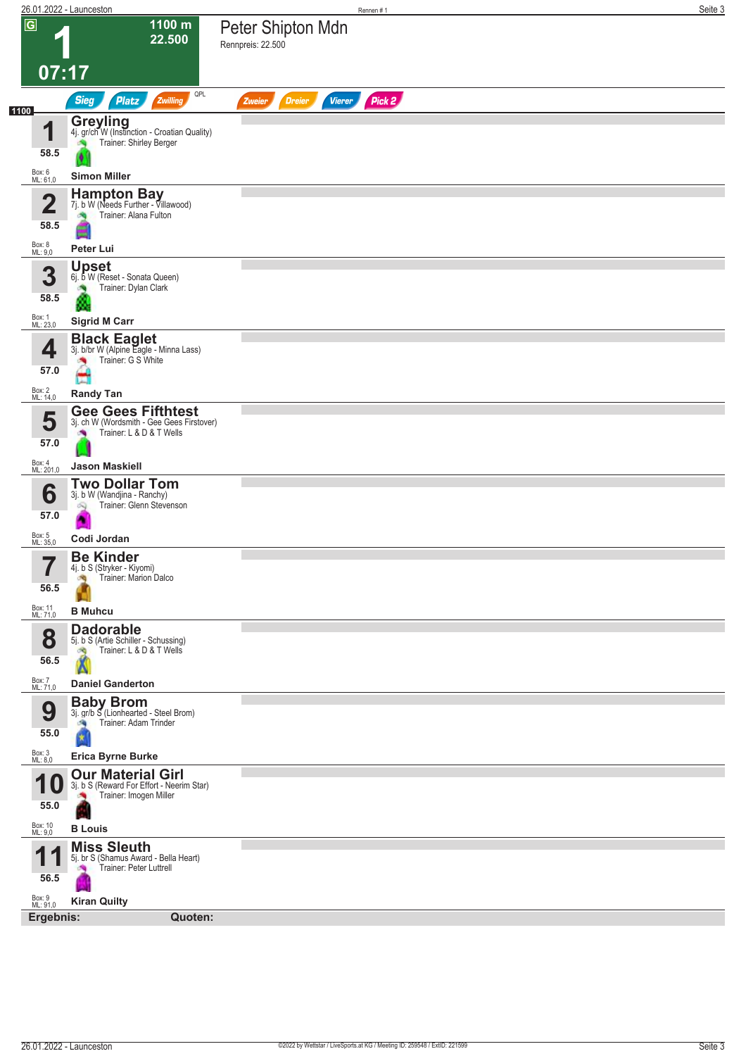|                                       | 26.01.2022 - Launceston                                                                                           |                                        | Rennen#1      |        | Seite 3 |
|---------------------------------------|-------------------------------------------------------------------------------------------------------------------|----------------------------------------|---------------|--------|---------|
| $\overline{G}$<br>07:17               | 1100 m<br>22.500                                                                                                  | Peter Shipton Mdn<br>Rennpreis: 22.500 |               |        |         |
|                                       | QPL                                                                                                               |                                        |               |        |         |
| 1100                                  | <b>Sieg</b><br>Zwilling<br><b>Platz</b>                                                                           | <b>Dreier</b><br>Zweier                | <b>Vierer</b> | Pick 2 |         |
| 1<br>58.5                             | <b>Greyling</b><br>4j. gr/ch W (Instinction - Croatian Quality)<br>Trainer: Shirley Berger                        |                                        |               |        |         |
| Box: 6<br>ML: 61,0                    | <b>Simon Miller</b>                                                                                               |                                        |               |        |         |
| $\overline{\mathbf{2}}$<br>58.5       | <b>Hampton Bay</b><br>7j. b W (Needs Further - Villawood)<br>Trainer: Alana Fulton<br>۳                           |                                        |               |        |         |
| Box: 8<br>ML: 9,0                     | Peter Lui                                                                                                         |                                        |               |        |         |
| 3<br>58.5                             | <b>Upset</b><br>6j. b W (Reset - Sonata Queen)<br>Trainer: Dylan Clark                                            |                                        |               |        |         |
| Box: 1<br>ML: 23,0                    | <b>Sigrid M Carr</b>                                                                                              |                                        |               |        |         |
| 4<br>57.0                             | <b>Black Eaglet</b><br>3j. b/br W (Alpine Eagle - Minna Lass)<br>Trainer: G S White                               |                                        |               |        |         |
|                                       |                                                                                                                   |                                        |               |        |         |
| Box: 2<br>ML: 14,0                    | <b>Randy Tan</b>                                                                                                  |                                        |               |        |         |
| 5<br>57.0                             | <b>Gee Gees Fifthtest</b><br>3j. ch W (Wordsmith - Gee Gees Firstover)<br>Trainer: L & D & T Wells<br>×           |                                        |               |        |         |
| Box: 4<br>ML: 201,0                   | <b>Jason Maskiell</b>                                                                                             |                                        |               |        |         |
| 6<br>57.0<br>Box: 5<br>ML: 35,0       | <b>Two Dollar Tom</b><br>3j. b W (Wandjina - Ranchy)<br>Trainer: Glenn Stevenson<br>œ,<br>Codi Jordan             |                                        |               |        |         |
| 7<br>56.5                             | <b>Be Kinder</b><br>4j. b S (Stryker - Kiyomi)<br>Trainer: Marion Dalco<br>肉                                      |                                        |               |        |         |
| Box: 11<br>ML: 71,0                   | <b>B</b> Muhcu                                                                                                    |                                        |               |        |         |
| 8<br>56.5                             | <b>Dadorable</b><br>5j. b S (Artie Schiller - Schussing)<br>Trainer: L & D & T Wells<br>đQ.                       |                                        |               |        |         |
| Box: 7<br>ML: 71,0                    | <b>Daniel Ganderton</b>                                                                                           |                                        |               |        |         |
| 9<br>55.0                             | <b>Baby Brom</b><br>3j. gr/b S (Lionhearted - Steel Brom)<br>Trainer: Adam Trinder                                |                                        |               |        |         |
| Box: 3<br>ML: 8,0                     | <b>Erica Byrne Burke</b>                                                                                          |                                        |               |        |         |
| А<br>TU<br>55.0<br>Box: 10<br>ML: 9,0 | <b>Our Material Girl</b><br>3j. b S (Reward For Effort - Neerim Star)<br>Trainer: Imogen Miller<br><b>B</b> Louis |                                        |               |        |         |
|                                       |                                                                                                                   |                                        |               |        |         |
| 1<br>56.5<br>Box: 9<br>ML: 91,0       | <b>Miss Sleuth</b><br>5j. br S (Shamus Award - Bella Heart)<br>Trainer: Peter Luttrell<br><b>Kiran Quilty</b>     |                                        |               |        |         |
| Ergebnis:                             | Quoten:                                                                                                           |                                        |               |        |         |
|                                       |                                                                                                                   |                                        |               |        |         |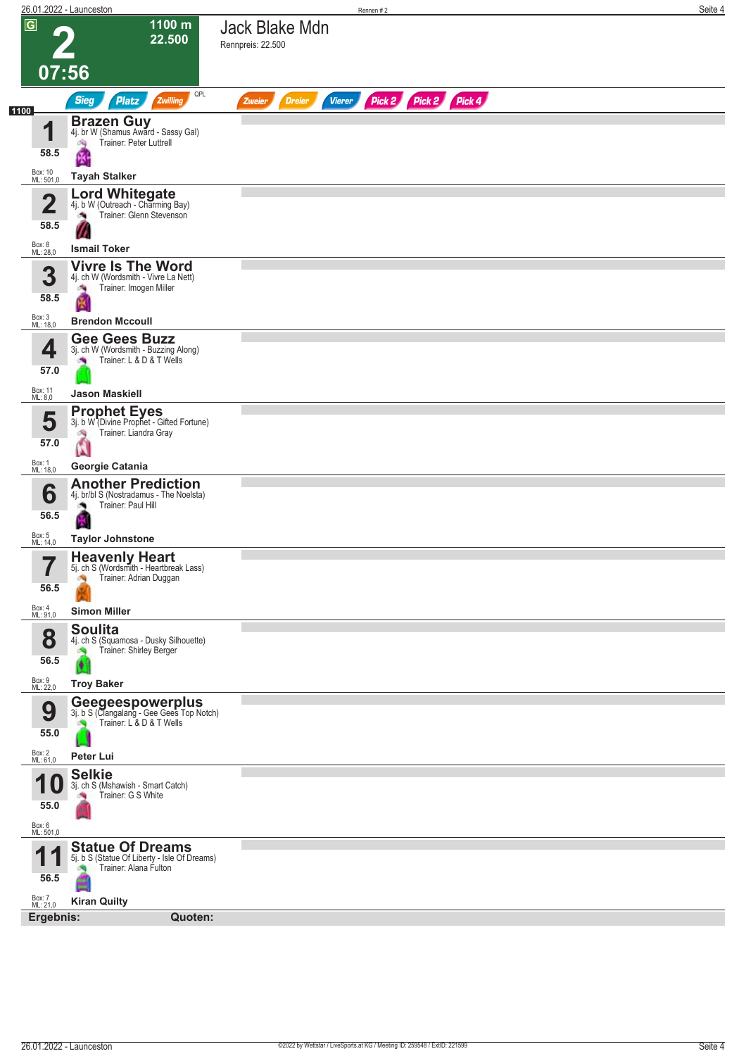|                         | 26.01.2022 - Launceston                                                                                |                                     |               |               | Rennen#2 |                      |  | Seite 4 |
|-------------------------|--------------------------------------------------------------------------------------------------------|-------------------------------------|---------------|---------------|----------|----------------------|--|---------|
| $\overline{G}$<br>07:56 | 1100 m<br>22.500                                                                                       | Jack Blake Mdn<br>Rennpreis: 22.500 |               |               |          |                      |  |         |
|                         | QPL<br><b>Sieg</b><br>Zwilling<br><b>Platz</b>                                                         |                                     | <b>Dreier</b> | <b>Vierer</b> |          | Pick 2 Pick 2 Pick 4 |  |         |
| 1100                    |                                                                                                        | Zweier                              |               |               |          |                      |  |         |
| И<br>58.5               | <b>Brazen Guy</b><br>4j. br W (Shamus Award - Sassy Gal)<br>Trainer: Peter Luttrell<br>哅<br>Ķ,         |                                     |               |               |          |                      |  |         |
| Box: 10<br>ML: 501,0    | <b>Tayah Stalker</b>                                                                                   |                                     |               |               |          |                      |  |         |
| $\mathbf{\Omega}$<br>Z  | <b>Lord Whitegate</b><br>4j. b W (Outreach - Charming Bay)<br>Trainer: Glenn Stevenson<br><b>CALL</b>  |                                     |               |               |          |                      |  |         |
| 58.5                    |                                                                                                        |                                     |               |               |          |                      |  |         |
| Box: 8<br>ML: 28,0      | <b>Ismail Toker</b><br><b>Vivre Is The Word</b>                                                        |                                     |               |               |          |                      |  |         |
| 3<br>58.5               | 4j. ch W (Wordsmith - Vivre La Nett)<br>Trainer: Imogen Miller<br>澚                                    |                                     |               |               |          |                      |  |         |
| Box: 3<br>ML: 18,0      | <b>Brendon Mccoull</b>                                                                                 |                                     |               |               |          |                      |  |         |
|                         | <b>Gee Gees Buzz</b><br>3j. ch W (Wordsmith - Buzzing Along)                                           |                                     |               |               |          |                      |  |         |
| 4<br>57.0               | Trainer: L & D & T Wells                                                                               |                                     |               |               |          |                      |  |         |
| Box: 11                 | <b>Jason Maskiell</b>                                                                                  |                                     |               |               |          |                      |  |         |
| ML: 8,0                 | <b>Prophet Eyes</b>                                                                                    |                                     |               |               |          |                      |  |         |
| 5                       | 3j. b W (Divine Prophet - Gifted Fortune)<br>Trainer: Liandra Gray<br>肉                                |                                     |               |               |          |                      |  |         |
| 57.0<br>Box: 1          | Ń                                                                                                      |                                     |               |               |          |                      |  |         |
| ML: 18,0                | Georgie Catania<br><b>Another Prediction</b>                                                           |                                     |               |               |          |                      |  |         |
| 6<br>56.5               | 4j. br/bl S (Nostradamus - The Noelsta)<br>Trainer: Paul Hill                                          |                                     |               |               |          |                      |  |         |
| Box: 5<br>ML: 14,0      | <b>Taylor Johnstone</b>                                                                                |                                     |               |               |          |                      |  |         |
| 7<br>ı<br>56.5          | <b>Heavenly Heart</b><br>5j. ch S (Wordsmith - Heartbreak Lass)<br>Trainer: Adrian Duggan<br>÷.        |                                     |               |               |          |                      |  |         |
| Box: 4<br>ML: 91,0      | <b>Simon Miller</b>                                                                                    |                                     |               |               |          |                      |  |         |
| 8<br>56.5               | <b>Soulita</b><br>4j. ch S (Squamosa - Dusky Silhouette)<br>Trainer: Shirley Berger<br>$\blacklozenge$ |                                     |               |               |          |                      |  |         |
| Box: 9<br>ML: 22,0      | <b>Troy Baker</b>                                                                                      |                                     |               |               |          |                      |  |         |
| 9<br>55.0               | Geegeespowerplus<br>3j. b S (Clangalang - Gee Gees Top Notch)<br>Trainer: L & D & T Wells              |                                     |               |               |          |                      |  |         |
|                         | Peter Lui                                                                                              |                                     |               |               |          |                      |  |         |
| Box: 2<br>ML: 61,0      | <b>Selkie</b>                                                                                          |                                     |               |               |          |                      |  |         |
| и<br>55.0               | 3j. ch S (Mshawish - Smart Catch)<br>Trainer: G S White                                                |                                     |               |               |          |                      |  |         |
| Box: 6<br>ML: 501,0     |                                                                                                        |                                     |               |               |          |                      |  |         |
| 4<br>п<br>56.5          | <b>Statue Of Dreams</b><br>5j. b S (Statue Of Liberty - Isle Of Dreams)<br>Trainer: Alana Fulton       |                                     |               |               |          |                      |  |         |
| Box: 7<br>ML: 21,0      | <b>Kiran Quilty</b>                                                                                    |                                     |               |               |          |                      |  |         |
| Ergebnis:               | Quoten:                                                                                                |                                     |               |               |          |                      |  |         |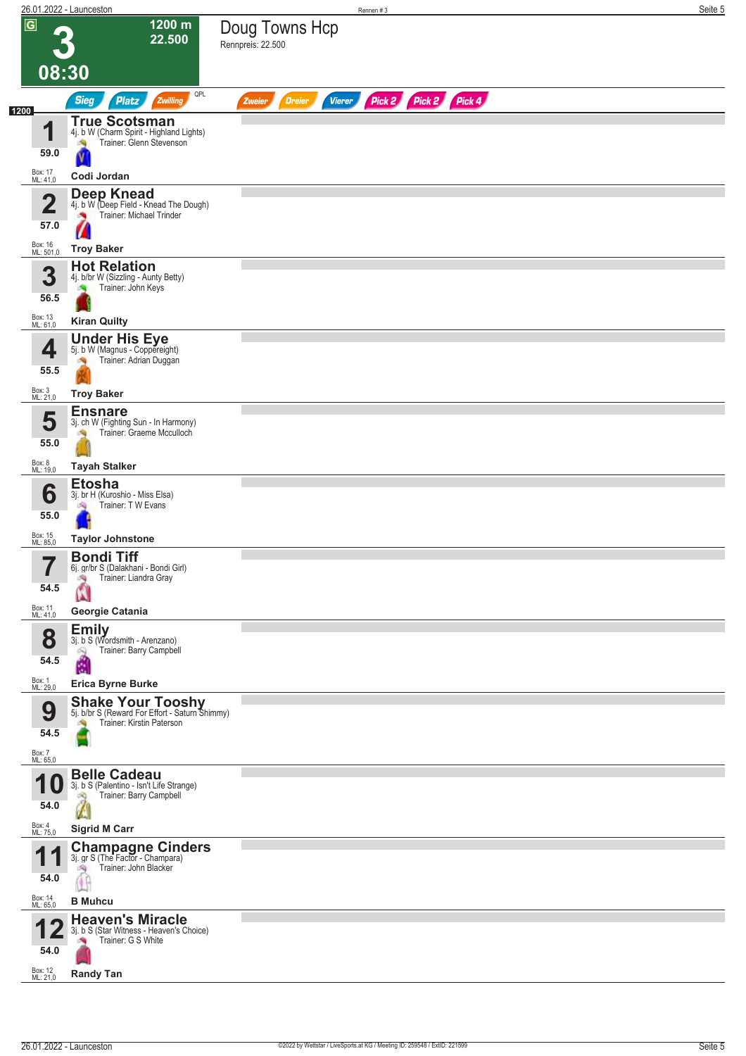|      |                                                         | 26.01.2022 - Launceston                                                                                     | Rennen#3                                                         | Seite 5 |
|------|---------------------------------------------------------|-------------------------------------------------------------------------------------------------------------|------------------------------------------------------------------|---------|
|      | $\overline{G}$                                          | 1200 m<br>22.500                                                                                            | Doug Towns Hcp<br>Rennpreis: 22.500                              |         |
|      | 08:30                                                   |                                                                                                             |                                                                  |         |
| 1200 |                                                         | QPL<br><b>Sieg</b><br><b>Platz</b><br>Zwilling                                                              | Pick 2 Pick 2 Pick 4<br><b>Vierer</b><br><b>Dreier</b><br>Zweier |         |
|      | И<br>59.0                                               | <b>True Scotsman</b><br>4j. b W (Charm Spirit - Highland Lights)<br>Trainer: Glenn Stevenson                |                                                                  |         |
|      | Box: 17<br>ML: 41,0                                     | Codi Jordan                                                                                                 |                                                                  |         |
|      | $\overline{\mathbf{2}}$<br>57.0<br>Box: 16<br>ML: 501,0 | Deep Knead<br>4j. b W (Deep Field - Knead The Dough)<br>Trainer: Michael Trinder<br>o.<br><b>Troy Baker</b> |                                                                  |         |
|      | 3<br>56.5                                               | <b>Hot Relation</b><br>4j. b/br W (Sizzling - Aunty Betty)<br>Trainer: John Keys                            |                                                                  |         |
|      | Box: 13<br>ML: 61,0                                     | <b>Kiran Quilty</b>                                                                                         |                                                                  |         |
|      | 4<br>55.5                                               | <b>Under His Eye</b><br>5j. b W (Magnus - Coppereight)<br>Trainer: Adrian Duggan                            |                                                                  |         |
|      | Box: 3<br>ML: 21,0                                      | <b>Troy Baker</b>                                                                                           |                                                                  |         |
|      | 5<br>55.0                                               | <b>Ensnare</b><br>3j. ch W (Fighting Sun - In Harmony)<br>Trainer: Graeme Mcculloch                         |                                                                  |         |
|      | Box: 8<br>ML: 19,0                                      | <b>Tayah Stalker</b>                                                                                        |                                                                  |         |
|      | 6<br>55.0                                               | <b>Etosha</b><br>3j. br H (Kuroshio - Miss Elsa)<br>Trainer: TW Evans                                       |                                                                  |         |
|      | Box: 15<br>ML: 85,0                                     | <b>Taylor Johnstone</b>                                                                                     |                                                                  |         |
|      | 7<br>ı<br>54.5                                          | <b>Bondi Tiff</b><br>6j. gr/br S (Dalakhani - Bondi Girl)<br>Trainer: Liandra Gray<br>肉                     |                                                                  |         |
|      | Box: 11<br>ML: 41,0                                     | Georgie Catania                                                                                             |                                                                  |         |
|      | 8<br>54.5                                               | <b>Emily</b><br>3j. b S (Wordsmith - Arenzano)<br>Trainer: Barry Campbell<br>ű                              |                                                                  |         |
|      | Box: 1<br>ML: 29,0                                      | <b>Erica Byrne Burke</b>                                                                                    |                                                                  |         |
|      | 9<br>54.5<br>Box: 7<br>ML: 65,0                         | <b>Shake Your Tooshy</b><br>5j. b/br S (Reward For Effort - Saturn Shimmy)<br>Trainer: Kirstin Paterson     |                                                                  |         |
|      | И<br>54.0                                               | <b>Belle Cadeau</b><br>3j. b S (Palentino - Isn't Life Strange)<br>Trainer: Barry Campbell<br>dK)           |                                                                  |         |
|      | Box: 4<br>ML: 75,0                                      | <b>Sigrid M Carr</b>                                                                                        |                                                                  |         |
|      | И<br>54.0                                               | Champagne Cinders<br>3j. gr S (The Factor - Champara)<br>Trainer: John Blacker<br>哅                         |                                                                  |         |
|      | Box: 14<br>ML: 65,0                                     | <b>B</b> Muhcu                                                                                              |                                                                  |         |
|      | 54.0                                                    | <b>Heaven's Miracle</b><br>3j. b S (Star Witness - Heaven's Choice)<br>Trainer: G S White                   |                                                                  |         |
|      | Box: 12<br>ML: 21,0                                     | <b>Randy Tan</b>                                                                                            |                                                                  |         |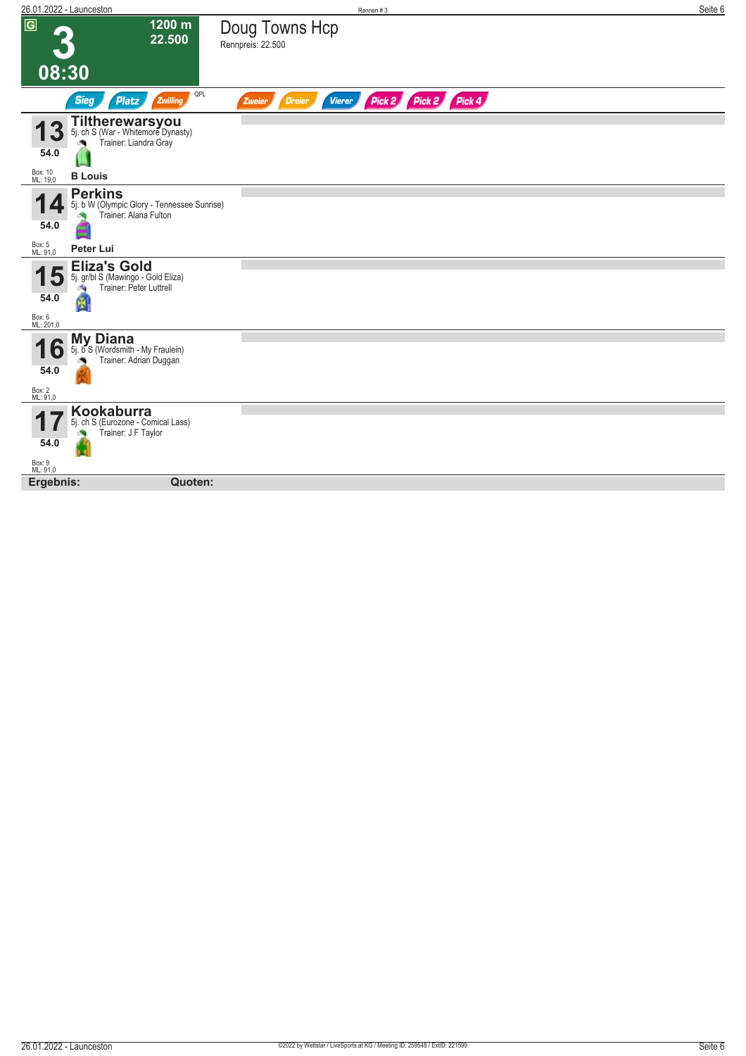|                                         | 26.01.2022 - Launceston                                                                   | Rennen#3                                                         | Seite 6 |
|-----------------------------------------|-------------------------------------------------------------------------------------------|------------------------------------------------------------------|---------|
| $\overline{G}$                          | 1200 m<br>22.500                                                                          | Doug Towns Hcp<br>Rennpreis: 22.500                              |         |
| 08:30                                   |                                                                                           |                                                                  |         |
|                                         | QPL<br><b>Sieg</b><br><b>Platz</b><br>Zwilling                                            | Pick 2 Pick 2 Pick 4<br><b>Vierer</b><br><b>Dreier</b><br>Zweier |         |
| 40                                      | Tiltherewarsyou<br>Trainer: Liandra Gray                                                  |                                                                  |         |
| 54.0                                    |                                                                                           |                                                                  |         |
| Box: 10<br>ML: 19,0                     | <b>B</b> Louis                                                                            |                                                                  |         |
| 54.0                                    | <b>Perkins</b><br>5j. b W (Olympic Glory - Tennessee Sunrise)<br>Trainer: Alana Fulton    |                                                                  |         |
| Box: 5<br>ML: 91,0                      | Peter Lui                                                                                 |                                                                  |         |
| 5<br>54.0<br>Box: 6<br>ML: 201,0        | <b>Eliza's Gold</b><br>5j. gr/bl S (Mawingo - Gold Eliza)<br>Trainer: Peter Luttrell<br>Ñ |                                                                  |         |
| $\bullet$<br>54.0<br>Box: 2<br>ML: 91,0 | <b>My Diana</b><br>5j. b S (Wordsmith - My Fraulein)<br>Trainer: Adrian Duggan            |                                                                  |         |
| 54.0                                    | Kookaburra<br>5j. ch S (Eurozone - Comical Lass)<br>Trainer: J F Taylor                   |                                                                  |         |
| Box: 9<br>ML: 91,0                      |                                                                                           |                                                                  |         |
| Ergebnis:                               | Quoten:                                                                                   |                                                                  |         |
|                                         |                                                                                           |                                                                  |         |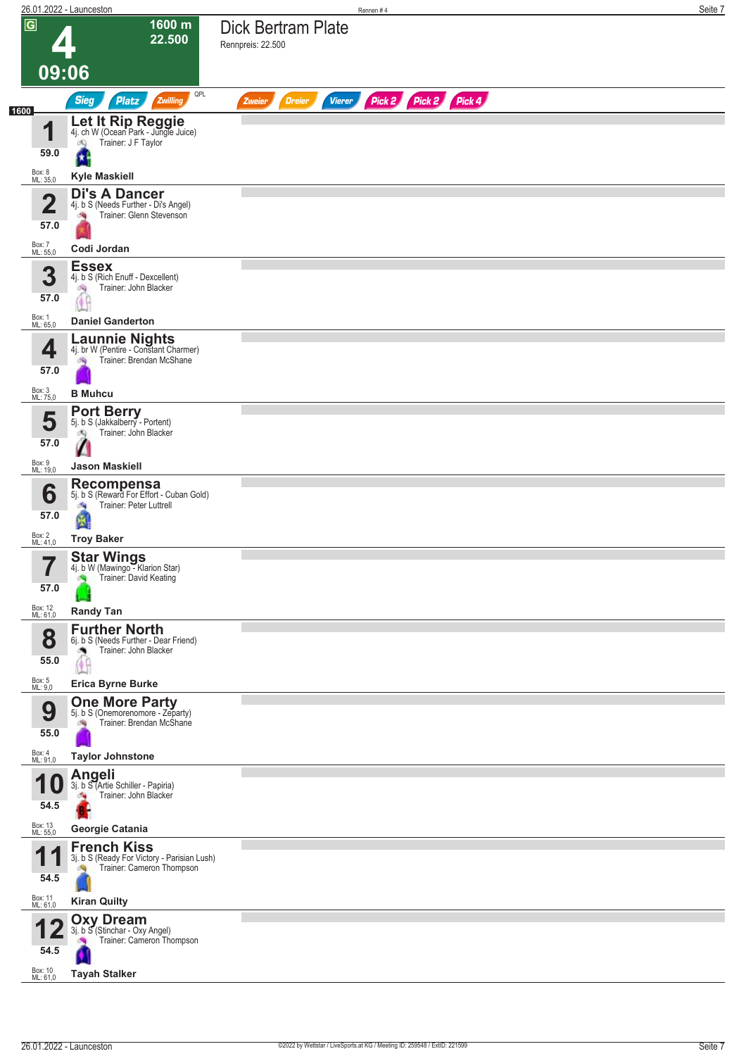|      |                             | 26.01.2022 - Launceston                                                                                 | Rennen#4                                                         | Seite 7 |
|------|-----------------------------|---------------------------------------------------------------------------------------------------------|------------------------------------------------------------------|---------|
|      | $\overline{G}$              | 1600 m<br>22.500                                                                                        | Dick Bertram Plate<br>Rennpreis: 22.500                          |         |
|      | 09:06                       |                                                                                                         |                                                                  |         |
|      |                             | QPL<br><b>Sieg</b><br>Zwilling<br><b>Platz</b>                                                          | Pick 2 Pick 2 Pick 4<br><b>Vierer</b><br><b>Dreier</b><br>Zweier |         |
| 1600 | и<br>59.0                   | Let It Rip Reggie<br>4j. ch W (Ocean Park - Jungle Juice)<br>Trainer: J F Taylor<br>dQ                  |                                                                  |         |
|      | Box: 8<br>ML: 35,0          | <b>Kyle Maskiell</b>                                                                                    |                                                                  |         |
|      | 2<br>57.0                   | <b>Di's A Dancer</b><br>4j. b S (Needs Further - Di's Angel)<br>Trainer: Glenn Stevenson<br>$\sim$      |                                                                  |         |
|      | Box: 7<br>ML: 55,0          | Codi Jordan                                                                                             |                                                                  |         |
|      | 3<br>57.0                   | <b>Essex</b><br>4j. b S (Rich Enuff - Dexcellent)<br>Trainer: John Blacker<br>淘                         |                                                                  |         |
|      | Box: 1<br>ML: 65,0          | <b>Daniel Ganderton</b>                                                                                 |                                                                  |         |
|      | 4<br>57.0                   | <b>Launnie Nights</b><br>4j. br W (Pentire - Constant Charmer)<br>Trainer: Brendan McShane              |                                                                  |         |
|      | Box: 3<br>ML: 75,0          | <b>B</b> Muhcu                                                                                          |                                                                  |         |
|      | 5<br>57.0                   | <b>Port Berry</b><br>5j. b S (Jakkalberry - Portent)<br>Trainer: John Blacker<br>d.                     |                                                                  |         |
|      | Box: 9<br>ML: 19,0          | <b>Jason Maskiell</b>                                                                                   |                                                                  |         |
|      | 6<br>57.0                   | <b>Recompensa</b><br>5j. b S (Reward For Effort - Cuban Gold)<br>Trainer: Peter Luttrell<br>đ.<br>и     |                                                                  |         |
|      | Box: 2<br>ML: 41,0          | <b>Troy Baker</b>                                                                                       |                                                                  |         |
|      | 7<br>$\blacksquare$<br>57.0 | <b>Star Wings</b><br>4j. b W (Mawingo - Klarion Star)<br>Trainer: David Keating                         |                                                                  |         |
|      | Box: 12<br>ML: 61,0         | <b>Randy Tan</b>                                                                                        |                                                                  |         |
|      | 8<br>55.0                   | <b>Further North</b><br>6j. b S (Needs Further - Dear Friend)<br>Trainer: John Blacker                  |                                                                  |         |
|      | Box: 5<br>ML: 9,0           | <b>Erica Byrne Burke</b>                                                                                |                                                                  |         |
|      | 9<br>55.0                   | <b>One More Party</b><br>5j. b S (Onemorenomore - Zeparty)<br>Trainer: Brendan McShane                  |                                                                  |         |
|      | Box: 4<br>ML: 91,0          | <b>Taylor Johnstone</b>                                                                                 |                                                                  |         |
|      | 54.5                        | Angeli<br>3j. b S (Artie Schiller - Papiria)<br>Trainer: John Blacker<br>÷.                             |                                                                  |         |
|      | Box: 13<br>ML: 55,0         | Georgie Catania                                                                                         |                                                                  |         |
|      | И<br>54.5                   | <b>French Kiss</b><br>3j. b S (Ready For Victory - Parisian Lush)<br>Trainer: Cameron Thompson          |                                                                  |         |
|      | Box: 11<br>ML: 61,0         | <b>Kiran Quilty</b>                                                                                     |                                                                  |         |
|      | 54.5<br>Box: 10<br>ML: 61,0 | <b>Oxy Dream</b><br>3j. b S (Stinchar - Oxy Angel)<br>Trainer: Cameron Thompson<br><b>Tayah Stalker</b> |                                                                  |         |
|      |                             |                                                                                                         |                                                                  |         |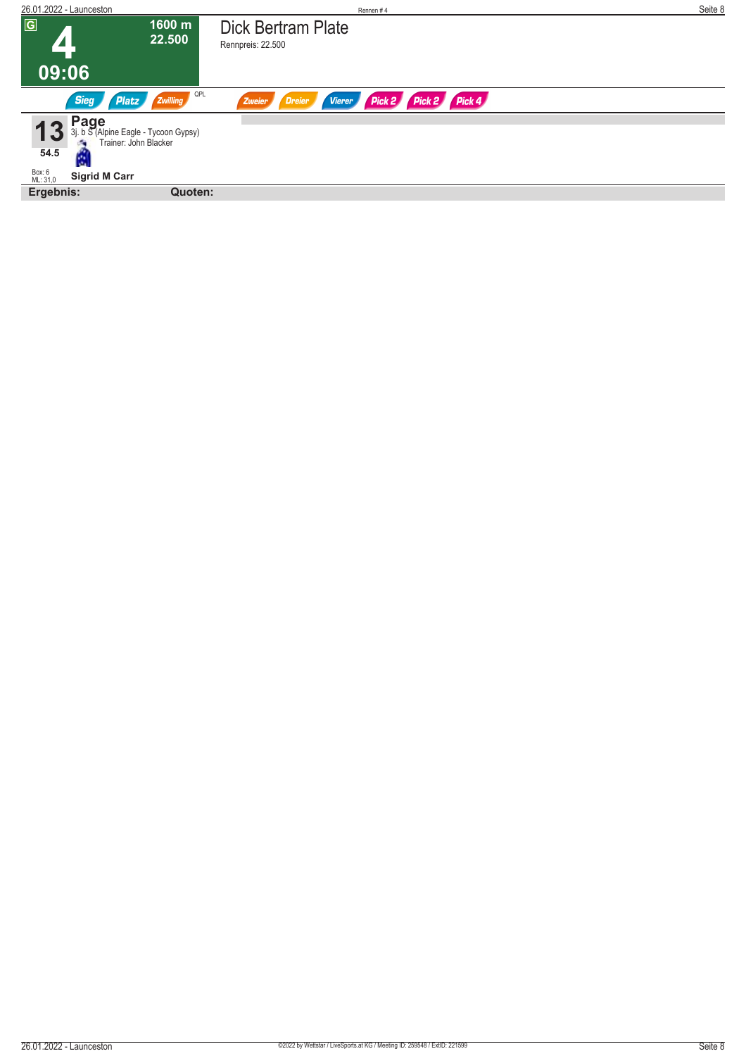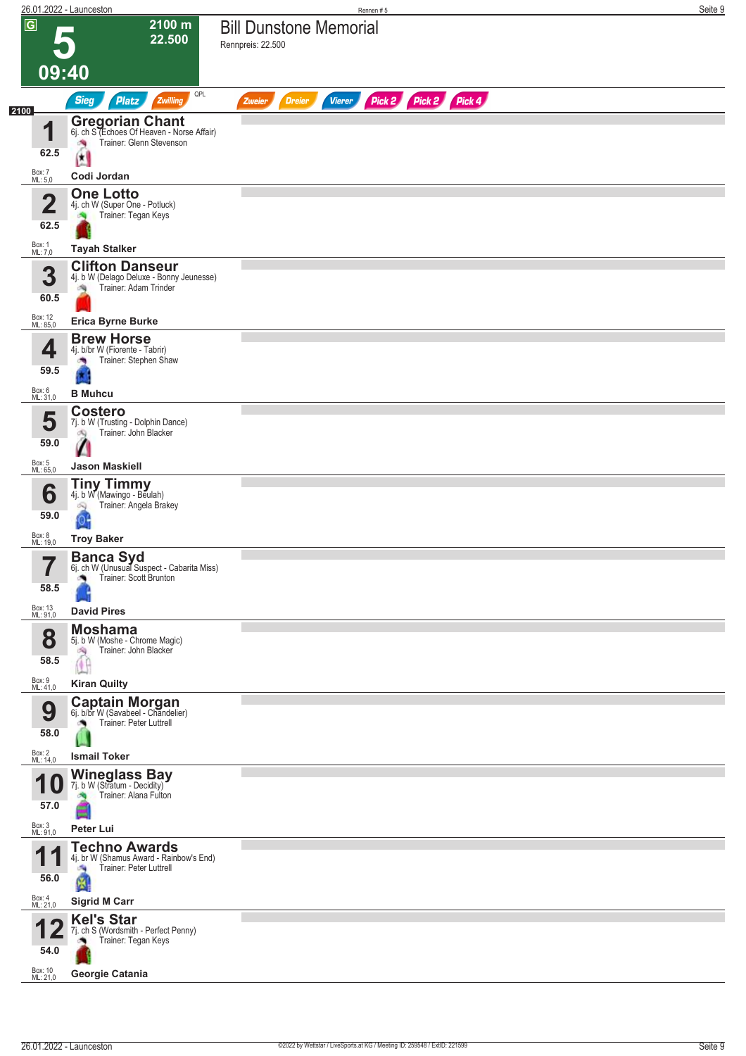| 26.01.2022 - Launceston         |                                                                                                                         | Rennen #5                                                        | Seite 9 |
|---------------------------------|-------------------------------------------------------------------------------------------------------------------------|------------------------------------------------------------------|---------|
| $\overline{G}$<br>09:40         | 2100 m<br>22.500                                                                                                        | <b>Bill Dunstone Memorial</b><br>Rennpreis: 22.500               |         |
|                                 | QPL<br>Sieg<br>Platz<br>Zwilling                                                                                        | Pick 2 Pick 2 Pick 4<br><b>Dreier</b><br><b>Vierer</b><br>Zweier |         |
| 2100<br>1<br>62.5               | <b>Gregorian Chant</b><br>6j. ch S (Echoes Of Heaven - Norse Affair)<br>Trainer: Glenn Stevenson<br>澚<br>$\mathfrak{a}$ |                                                                  |         |
| Box: 7<br>ML: 5,0               | Codi Jordan                                                                                                             |                                                                  |         |
| $\overline{\mathbf{2}}$<br>62.5 | <b>One Lotto</b><br>4j. ch W (Super One - Potluck)<br>Trainer: Tegan Keys                                               |                                                                  |         |
| Box: 1<br>ML: 7,0               | <b>Tayah Stalker</b>                                                                                                    |                                                                  |         |
| 3<br>60.5                       | <b>Clifton Danseur</b><br>4j. b W (Delago Deluxe - Bonny Jeunesse)<br>Trainer: Adam Trinder<br>鸿                        |                                                                  |         |
| Box: 12<br>ML: 85,0             | <b>Erica Byrne Burke</b>                                                                                                |                                                                  |         |
| 4<br>59.5                       | <b>Brew Horse</b><br>4j. b/br W (Fiorente - Tabrir)<br>Trainer: Stephen Shaw                                            |                                                                  |         |
| Box: 6<br>ML: 31,0              | <b>B</b> Muhcu                                                                                                          |                                                                  |         |
| 5<br>59.0                       | <b>Costero</b><br>7j. b W (Trusting - Dolphin Dance)<br>Trainer: John Blacker<br>dQ.<br>Ø                               |                                                                  |         |
| Box: 5<br>ML: 65,0              | <b>Jason Maskiell</b>                                                                                                   |                                                                  |         |
| 6<br>59.0                       | <b>Tiny Timmy</b><br>4j. b W (Mawingo - Beulah)<br>Trainer: Angela Brakey<br>6Q                                         |                                                                  |         |
| Box: 8<br>ML: 19,0              | <b>Troy Baker</b>                                                                                                       |                                                                  |         |
| 7<br>58.5                       | <b>Banca Syd</b><br>6j. ch W (Unusual Suspect - Cabarita Miss)<br>Trainer: Scott Brunton                                |                                                                  |         |
| Box: 13<br>ML: 91,0             | <b>David Pires</b>                                                                                                      |                                                                  |         |
| 8<br>58.5                       | <b>Moshama</b><br>5j. b W (Moshe - Chrome Magic)<br>Trainer: John Blacker<br>沟<br>Œ                                     |                                                                  |         |
| Box: 9<br>ML: 41,0              | <b>Kiran Quilty</b>                                                                                                     |                                                                  |         |
| 9<br>58.0                       | <b>Captain Morgan</b><br>6j. b/br W (Savabeel - Chandelier)<br>Trainer: Peter Luttrell                                  |                                                                  |         |
| Box: 2<br>ML: 14,0              | <b>Ismail Toker</b>                                                                                                     |                                                                  |         |
| А<br>1 U<br>57.0                | <b>Wineglass Bay</b><br>7j. b W (Stratum - Decidity)<br>Trainer: Alana Fulton                                           |                                                                  |         |
| Box: 3<br>ML: 91,0              | Peter Lui                                                                                                               |                                                                  |         |
| 4<br>P<br>56.0                  | <b>Techno Awards</b><br>4j. br W (Shamus Award - Rainbow's End)<br>Trainer: Peter Luttrell<br>a s<br>M                  |                                                                  |         |
| Box: 4<br>ML: 21,0              | <b>Sigrid M Carr</b>                                                                                                    |                                                                  |         |
| 54.0                            | <b>Kel's Star</b><br>7j. ch S (Wordsmith - Perfect Penny)<br>Trainer: Tegan Keys                                        |                                                                  |         |
| Box: 10<br>ML: 21,0             | Georgie Catania                                                                                                         |                                                                  |         |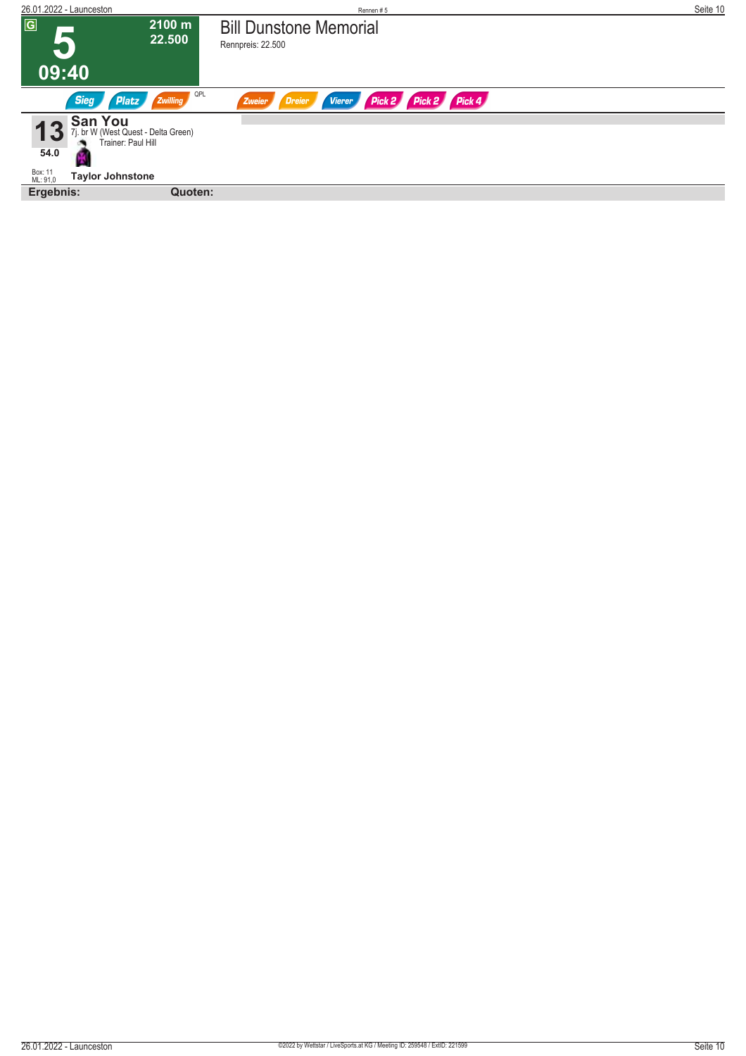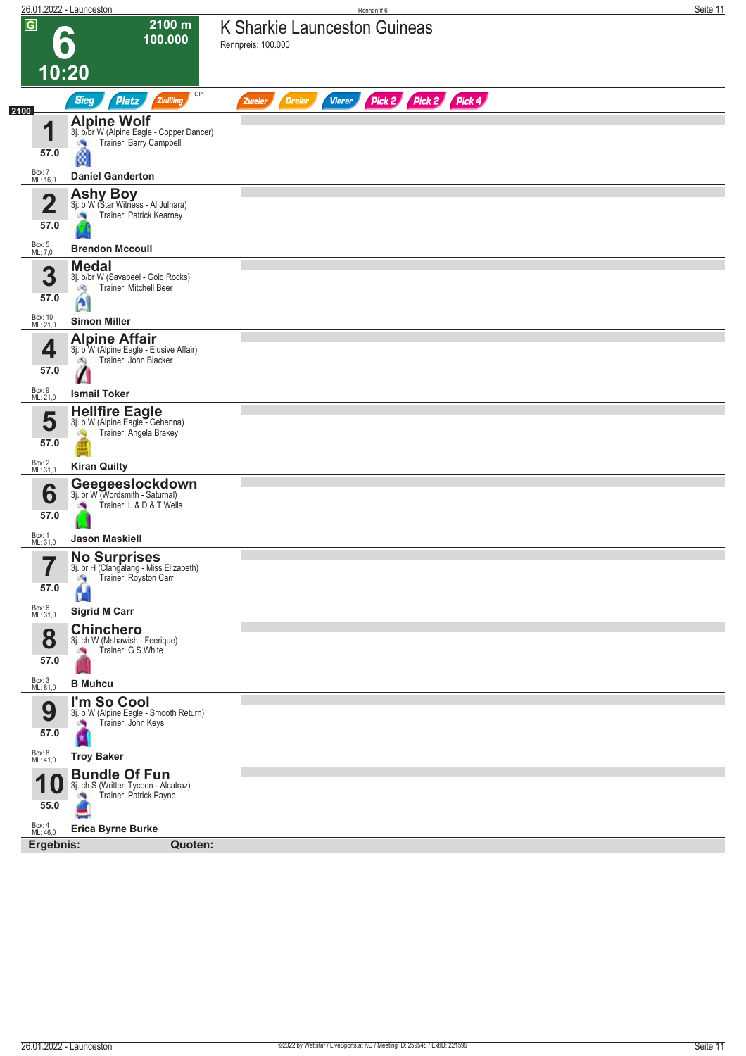|                                      | 26.01.2022 - Launceston                                                                                                           | Rennen#6                                                         | Seite 11 |
|--------------------------------------|-----------------------------------------------------------------------------------------------------------------------------------|------------------------------------------------------------------|----------|
| $\overline{\mathsf{G}}$              | 2100 m<br>100.000                                                                                                                 | K Sharkie Launceston Guineas<br>Rennpreis: 100.000               |          |
|                                      | 10:20                                                                                                                             |                                                                  |          |
| 2100                                 | QPL<br><b>Sieg</b><br><b>Platz</b><br>Zwilling                                                                                    | Pick 2 Pick 2 Pick 4<br><b>Vierer</b><br>Zweier<br><b>Dreier</b> |          |
| 1<br>57.0                            | <b>Alpine Wolf</b><br>3j. b/br W (Alpine Eagle - Copper Dancer)<br>Trainer: Barry Campbell<br>ø                                   |                                                                  |          |
| Box: 7<br>ML: 16,0                   | <b>Daniel Ganderton</b>                                                                                                           |                                                                  |          |
| $\mathbf 2$<br>57.0                  | <b>Ashy Boy</b><br>3j. b W (Star Witness - Al Julhara)<br>Trainer: Patrick Kearney                                                |                                                                  |          |
| Box: 5<br>ML: 7,0                    | <b>Brendon Mccoull</b>                                                                                                            |                                                                  |          |
| 3<br>57.0<br>Box: 10<br>ML: 21,0     | <b>Medal</b><br>3j. b/br W (Savabeel - Gold Rocks)<br><b>Trainer: Mitchell Beer</b><br>dig<br>$\mathbf{r}$<br><b>Simon Miller</b> |                                                                  |          |
|                                      | <b>Alpine Affair</b>                                                                                                              |                                                                  |          |
| 4<br>57.0                            | 3j. b W (Alpine Eagle - Elusive Affair)<br>Trainer: John Blacker<br>đQ.                                                           |                                                                  |          |
| Box: 9<br>ML: 21,0                   | <b>Ismail Toker</b>                                                                                                               |                                                                  |          |
| 5<br>57.0                            | <b>Hellfire Eagle</b><br>3j. b W (Alpine Eagle - Gehenna)<br>Trainer: Angela Brakey                                               |                                                                  |          |
| Box: 2<br>ML: 31,0                   | <b>Kiran Quilty</b>                                                                                                               |                                                                  |          |
| 6<br>57.0                            | Geegeeslockdown<br>3j. br W (Wordsmith - Saturnal)<br>Trainer: L & D & T Wells<br>×                                               |                                                                  |          |
| Box: 1<br>ML: 31,0                   | <b>Jason Maskiell</b>                                                                                                             |                                                                  |          |
| 7<br>I<br>57.0<br>Box: 6<br>ML: 31,0 | <b>No Surprises</b><br>3j. br H (Clangalang - Miss Elizabeth)<br>Trainer: Royston Carr<br>有<br>D.<br><b>Sigrid M Carr</b>         |                                                                  |          |
|                                      | <b>Chinchero</b>                                                                                                                  |                                                                  |          |
| 8<br>57.0                            | 3j. ch W (Mshawish - Feerique)<br>Trainer: G S White<br>×.                                                                        |                                                                  |          |
| Box: 3<br>ML: 81,0                   | <b>B</b> Muhcu                                                                                                                    |                                                                  |          |
| 9<br>57.0                            | I'm So Cool<br>3j. b W (Alpine Eagle - Smooth Return)<br>Trainer: John Keys<br>×                                                  |                                                                  |          |
| Box: 8<br>ML: 41,0                   | <b>Troy Baker</b>                                                                                                                 |                                                                  |          |
| И<br>10<br>55.0                      | <b>Bundle Of Fun</b><br>3j. ch S (Written Tycoon - Alcatraz)<br>Trainer: Patrick Payne                                            |                                                                  |          |
| Box: 4<br>ML: 46,0                   | <b>Erica Byrne Burke</b>                                                                                                          |                                                                  |          |
| Ergebnis:                            | Quoten:                                                                                                                           |                                                                  |          |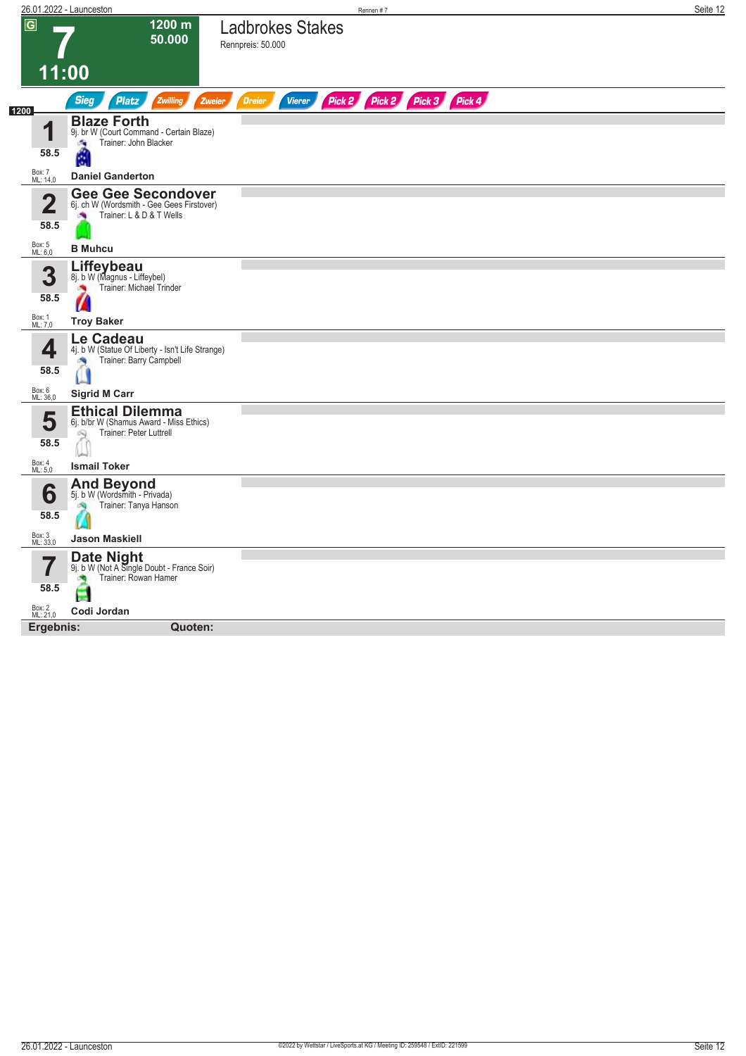| $\overline{G}$<br>1200 m<br><b>Ladbrokes Stakes</b><br>50.000<br>Rennpreis: 50.000<br>11:00<br>Pick 2 Pick 2 Pick 3 Pick 4<br><b>Sieg</b><br><b>Platz</b><br>Zwilling<br><b>Dreier</b><br><b>Vierer</b><br>Zweier<br><b>Blaze Forth</b><br>И<br>9j. br W (Court Command - Certain Blaze)<br>Trainer: John Blacker<br>Ø.<br>58.5<br>懰<br>Box: 7<br>ML: 14,0<br><b>Daniel Ganderton</b><br><b>Gee Gee Secondover</b><br>Ω<br>6j. ch W (Wordsmith - Gee Gees Firstover)<br>◢<br>Trainer: L & D & T Wells<br>×<br>58.5<br>Box: 5<br>ML: 6,0<br><b>B</b> Muhcu<br>Liffeybeau<br>3<br>8j. b W (Magnus - Liffeybel)<br>Trainer: Michael Trinder<br>×<br>58.5<br>И<br>Box: 1<br>ML: 7,0<br><b>Troy Baker</b><br>Le Cadeau<br>4<br>4j. b W (Statue Of Liberty - Isn't Life Strange)<br>Trainer: Barry Campbell<br>58.5<br>Box: 6<br>ML: 36,0<br><b>Sigrid M Carr</b><br><b>Ethical Dilemma</b><br>5<br>6j. b/br W (Shamus Award - Miss Ethics)<br>Trainer: Peter Luttrell<br>Q<br>58.5<br>Box: 4<br>ML: 5,0<br><b>Ismail Toker</b><br><b>And Beyond</b><br>6<br>5j. b W (Wordsmith - Privada)<br>Trainer: Tanya Hanson<br>58.5<br>Box: 3<br>ML: 33,0<br><b>Jason Maskiell</b><br><b>Date Night</b><br>9j. b W (Not A Single Doubt - France Soir)<br>Trainer: Rowan Hamer<br>确<br>58.5<br>÷<br>Box: 2<br>ML: 21,0<br>Codi Jordan | Quoten:<br>Ergebnis: | 26.01.2022 - Launceston | Rennen#7 | Seite 12 |
|------------------------------------------------------------------------------------------------------------------------------------------------------------------------------------------------------------------------------------------------------------------------------------------------------------------------------------------------------------------------------------------------------------------------------------------------------------------------------------------------------------------------------------------------------------------------------------------------------------------------------------------------------------------------------------------------------------------------------------------------------------------------------------------------------------------------------------------------------------------------------------------------------------------------------------------------------------------------------------------------------------------------------------------------------------------------------------------------------------------------------------------------------------------------------------------------------------------------------------------------------------------------------------------------------------------------|----------------------|-------------------------|----------|----------|
| 1200                                                                                                                                                                                                                                                                                                                                                                                                                                                                                                                                                                                                                                                                                                                                                                                                                                                                                                                                                                                                                                                                                                                                                                                                                                                                                                                   |                      |                         |          |          |
|                                                                                                                                                                                                                                                                                                                                                                                                                                                                                                                                                                                                                                                                                                                                                                                                                                                                                                                                                                                                                                                                                                                                                                                                                                                                                                                        |                      |                         |          |          |
|                                                                                                                                                                                                                                                                                                                                                                                                                                                                                                                                                                                                                                                                                                                                                                                                                                                                                                                                                                                                                                                                                                                                                                                                                                                                                                                        |                      |                         |          |          |
|                                                                                                                                                                                                                                                                                                                                                                                                                                                                                                                                                                                                                                                                                                                                                                                                                                                                                                                                                                                                                                                                                                                                                                                                                                                                                                                        |                      |                         |          |          |
|                                                                                                                                                                                                                                                                                                                                                                                                                                                                                                                                                                                                                                                                                                                                                                                                                                                                                                                                                                                                                                                                                                                                                                                                                                                                                                                        |                      |                         |          |          |
|                                                                                                                                                                                                                                                                                                                                                                                                                                                                                                                                                                                                                                                                                                                                                                                                                                                                                                                                                                                                                                                                                                                                                                                                                                                                                                                        |                      |                         |          |          |
|                                                                                                                                                                                                                                                                                                                                                                                                                                                                                                                                                                                                                                                                                                                                                                                                                                                                                                                                                                                                                                                                                                                                                                                                                                                                                                                        |                      |                         |          |          |
|                                                                                                                                                                                                                                                                                                                                                                                                                                                                                                                                                                                                                                                                                                                                                                                                                                                                                                                                                                                                                                                                                                                                                                                                                                                                                                                        |                      |                         |          |          |
|                                                                                                                                                                                                                                                                                                                                                                                                                                                                                                                                                                                                                                                                                                                                                                                                                                                                                                                                                                                                                                                                                                                                                                                                                                                                                                                        |                      |                         |          |          |
|                                                                                                                                                                                                                                                                                                                                                                                                                                                                                                                                                                                                                                                                                                                                                                                                                                                                                                                                                                                                                                                                                                                                                                                                                                                                                                                        |                      |                         |          |          |
|                                                                                                                                                                                                                                                                                                                                                                                                                                                                                                                                                                                                                                                                                                                                                                                                                                                                                                                                                                                                                                                                                                                                                                                                                                                                                                                        |                      |                         |          |          |
|                                                                                                                                                                                                                                                                                                                                                                                                                                                                                                                                                                                                                                                                                                                                                                                                                                                                                                                                                                                                                                                                                                                                                                                                                                                                                                                        |                      |                         |          |          |
|                                                                                                                                                                                                                                                                                                                                                                                                                                                                                                                                                                                                                                                                                                                                                                                                                                                                                                                                                                                                                                                                                                                                                                                                                                                                                                                        |                      |                         |          |          |
|                                                                                                                                                                                                                                                                                                                                                                                                                                                                                                                                                                                                                                                                                                                                                                                                                                                                                                                                                                                                                                                                                                                                                                                                                                                                                                                        |                      |                         |          |          |
|                                                                                                                                                                                                                                                                                                                                                                                                                                                                                                                                                                                                                                                                                                                                                                                                                                                                                                                                                                                                                                                                                                                                                                                                                                                                                                                        |                      |                         |          |          |
|                                                                                                                                                                                                                                                                                                                                                                                                                                                                                                                                                                                                                                                                                                                                                                                                                                                                                                                                                                                                                                                                                                                                                                                                                                                                                                                        |                      |                         |          |          |
|                                                                                                                                                                                                                                                                                                                                                                                                                                                                                                                                                                                                                                                                                                                                                                                                                                                                                                                                                                                                                                                                                                                                                                                                                                                                                                                        |                      |                         |          |          |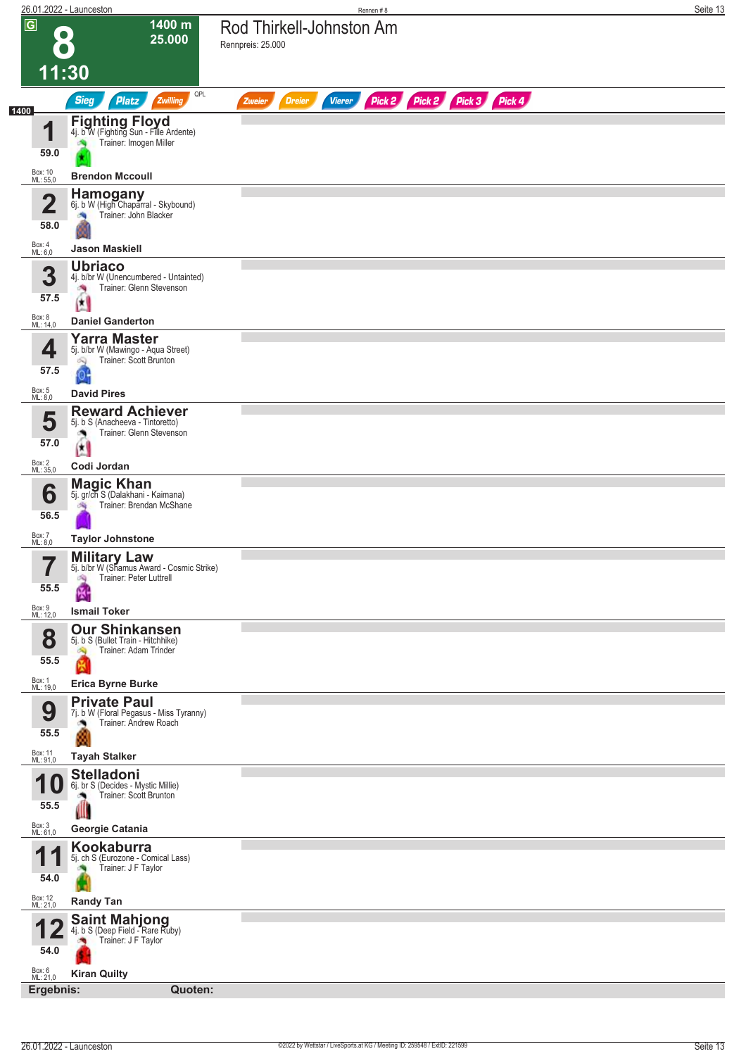|                                 | 26.01.2022 - Launceston                                                                               | Rennen#8                                                                | Seite 13 |
|---------------------------------|-------------------------------------------------------------------------------------------------------|-------------------------------------------------------------------------|----------|
| $\overline{G}$                  | 1400 m<br>$\bullet$<br>25.000                                                                         | Rod Thirkell-Johnston Am<br>Rennpreis: 25.000                           |          |
|                                 | 11:30                                                                                                 |                                                                         |          |
| 1400                            | QPL<br><b>Sieg</b><br>Platz<br>Zwilling                                                               | Pick 2 Pick 2 Pick 3 Pick 4<br><b>Vierer</b><br><b>Dreier</b><br>Zweier |          |
| и                               | <b>Fighting Floyd</b><br>4j. b W (Fighting Sun - Fille Ardente)<br>Trainer: Imogen Miller             |                                                                         |          |
| 59.0                            |                                                                                                       |                                                                         |          |
| Box: 10<br>ML: 55,0             | <b>Brendon Mccoull</b>                                                                                |                                                                         |          |
| 2<br>L<br>58.0                  | <b>Hamogany</b><br>6j. b W (High Chaparral - Skybound)<br>Trainer: John Blacker<br>肉                  |                                                                         |          |
| Box: 4<br>ML: 6,0               | <b>Jason Maskiell</b>                                                                                 |                                                                         |          |
| 3<br>57.5                       | <b>Ubriaco</b><br>4j. b/br W (Unencumbered - Untainted)<br>Trainer: Glenn Stevenson<br>澚              |                                                                         |          |
| Box: 8<br>ML: 14,0              | 团<br><b>Daniel Ganderton</b>                                                                          |                                                                         |          |
| 4<br>57.5                       | <b>Yarra Master</b><br>5j. b/br W (Mawingo - Aqua Street)<br>Trainer: Scott Brunton<br>Q<br>or        |                                                                         |          |
| Box: 5<br>ML: 8,0               | <b>David Pires</b>                                                                                    |                                                                         |          |
| 5<br>57.0                       | <b>Reward Achiever</b><br>5j. b S (Anacheeva - Tintoretto)<br>Trainer: Glenn Stevenson<br>o.          |                                                                         |          |
| Box: 2<br>ML: 35,0              | 图<br>Codi Jordan                                                                                      |                                                                         |          |
| 6<br>56.5                       | <b>Magic Khan</b><br>5j. gr/ch S (Dalakhani - Kaimana)<br>Trainer: Brendan McShane                    |                                                                         |          |
| Box: 7<br>ML: 8,0               | <b>Taylor Johnstone</b>                                                                               |                                                                         |          |
| 7<br>$\blacksquare$<br>55.5     | <b>Military Law</b><br>5j. b/br W (Shamus Award - Cosmic Strike)<br>Trainer: Peter Luttrell<br>哅<br>圈 |                                                                         |          |
| Box: 9<br>ML: 12,0              | <b>Ismail Toker</b><br><b>Our Shinkansen</b>                                                          |                                                                         |          |
| 8<br>55.5                       | 5j. b S (Bullet Train - Hitchhike)<br>Trainer: Adam Trinder                                           |                                                                         |          |
| Box: 1<br>ML: 19,0              | <b>Erica Byrne Burke</b><br><b>Private Paul</b>                                                       |                                                                         |          |
| 9<br>55.5                       | 7j. b W (Floral Pegasus - Miss Tyranny)<br>Trainer: Andrew Roach                                      |                                                                         |          |
| Box: 11<br>ML: 91,0             | <b>Tayah Stalker</b>                                                                                  |                                                                         |          |
| 55.5                            | <b>Stelladoni</b><br>6j. br S (Decides - Mystic Millie)<br>Trainer: Scott Brunton<br>Ш                |                                                                         |          |
| Box: 3<br>ML: 61,0              | Georgie Catania                                                                                       |                                                                         |          |
| И<br>54.0                       | Kookaburra<br>5j. ch S (Eurozone - Comical Lass)<br>Trainer: J F Taylor                               |                                                                         |          |
| Box: 12<br>ML: 21,0             | <b>Randy Tan</b>                                                                                      |                                                                         |          |
| 54.0                            | <b>Saint Mahjong</b><br>4j. b S (Deep Field - Rare Ruby)<br>Trainer: J F Taylor                       |                                                                         |          |
| Box: 6<br>ML: 21,0<br>Ergebnis: | <b>Kiran Quilty</b><br>Quoten:                                                                        |                                                                         |          |
|                                 |                                                                                                       |                                                                         |          |